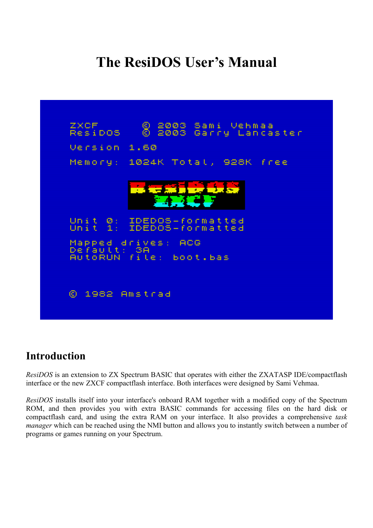# **The ResiDOS User's Manual**



### **Introduction**

*ResiDOS* is an extension to ZX Spectrum BASIC that operates with either the ZXATASP IDE/compactflash interface or the new ZXCF compactflash interface. Both interfaces were designed by Sami Vehmaa.

*ResiDOS* installs itself into your interface's onboard RAM together with a modified copy of the Spectrum ROM, and then provides you with extra BASIC commands for accessing files on the hard disk or compactflash card, and using the extra RAM on your interface. It also provides a comprehensive *task manager* which can be reached using the NMI button and allows you to instantly switch between a number of programs or games running on your Spectrum.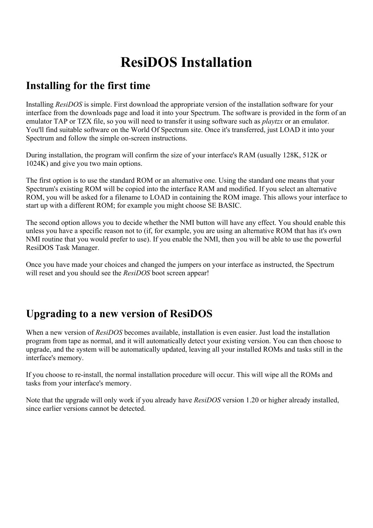# **ResiDOS Installation**

## **Installing for the first time**

Installing *ResiDOS* is simple. First download the appropriate version of the installation software for your interface from the downloads page and load it into your Spectrum. The software is provided in the form of an emulator TAP or TZX file, so you will need to transfer it using software such as *playtzx* or an emulator. You'll find suitable software on the World Of Spectrum site. Once it's transferred, just LOAD it into your Spectrum and follow the simple on-screen instructions.

During installation, the program will confirm the size of your interface's RAM (usually 128K, 512K or 1024K) and give you two main options.

The first option is to use the standard ROM or an alternative one. Using the standard one means that your Spectrum's existing ROM will be copied into the interface RAM and modified. If you select an alternative ROM, you will be asked for a filename to LOAD in containing the ROM image. This allows your interface to start up with a different ROM; for example you might choose SE BASIC.

The second option allows you to decide whether the NMI button will have any effect. You should enable this unless you have a specific reason not to (if, for example, you are using an alternative ROM that has it's own NMI routine that you would prefer to use). If you enable the NMI, then you will be able to use the powerful ResiDOS Task Manager.

Once you have made your choices and changed the jumpers on your interface as instructed, the Spectrum will reset and you should see the *ResiDOS* boot screen appear!

# **Upgrading to a new version of ResiDOS**

When a new version of *ResiDOS* becomes available, installation is even easier. Just load the installation program from tape as normal, and it will automatically detect your existing version. You can then choose to upgrade, and the system will be automatically updated, leaving all your installed ROMs and tasks still in the interface's memory.

If you choose to re-install, the normal installation procedure will occur. This will wipe all the ROMs and tasks from your interface's memory.

Note that the upgrade will only work if you already have *ResiDOS* version 1.20 or higher already installed, since earlier versions cannot be detected.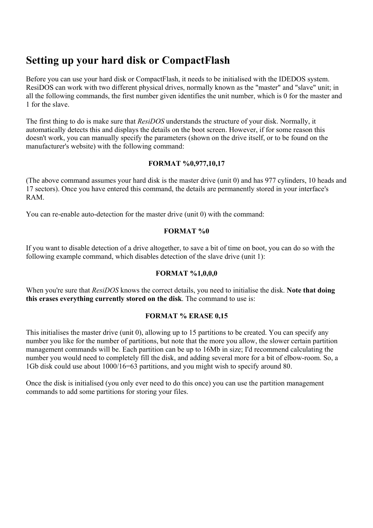### **Setting up your hard disk or CompactFlash**

Before you can use your hard disk or CompactFlash, it needs to be initialised with the IDEDOS system. ResiDOS can work with two different physical drives, normally known as the "master" and "slave" unit; in all the following commands, the first number given identifies the unit number, which is 0 for the master and 1 for the slave.

The first thing to do is make sure that *ResiDOS* understands the structure of your disk. Normally, it automatically detects this and displays the details on the boot screen. However, if for some reason this doesn't work, you can manually specify the parameters (shown on the drive itself, or to be found on the manufacturer's website) with the following command:

#### **FORMAT %0,977,10,17**

(The above command assumes your hard disk is the master drive (unit 0) and has 977 cylinders, 10 heads and 17 sectors). Once you have entered this command, the details are permanently stored in your interface's RAM.

You can re-enable auto-detection for the master drive (unit 0) with the command:

#### **FORMAT %0**

If you want to disable detection of a drive altogether, to save a bit of time on boot, you can do so with the following example command, which disables detection of the slave drive (unit 1):

#### **FORMAT %1,0,0,0**

When you're sure that *ResiDOS* knows the correct details, you need to initialise the disk. **Note that doing this erases everything currently stored on the disk**. The command to use is:

### **FORMAT % ERASE 0,15**

This initialises the master drive (unit 0), allowing up to 15 partitions to be created. You can specify any number you like for the number of partitions, but note that the more you allow, the slower certain partition management commands will be. Each partition can be up to 16Mb in size; I'd recommend calculating the number you would need to completely fill the disk, and adding several more for a bit of elbow-room. So, a 1Gb disk could use about 1000/16=63 partitions, and you might wish to specify around 80.

Once the disk is initialised (you only ever need to do this once) you can use the partition management commands to add some partitions for storing your files.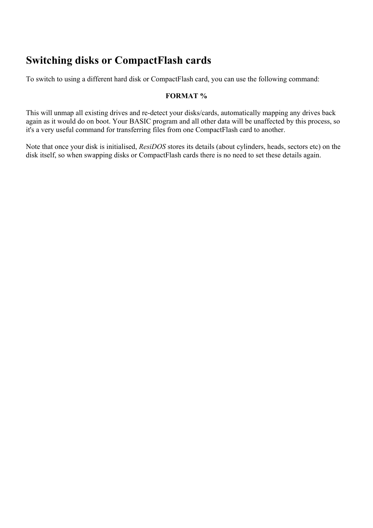## **Switching disks or CompactFlash cards**

To switch to using a different hard disk or CompactFlash card, you can use the following command:

### **FORMAT %**

This will unmap all existing drives and re-detect your disks/cards, automatically mapping any drives back again as it would do on boot. Your BASIC program and all other data will be unaffected by this process, so it's a very useful command for transferring files from one CompactFlash card to another.

Note that once your disk is initialised, *ResiDOS* stores its details (about cylinders, heads, sectors etc) on the disk itself, so when swapping disks or CompactFlash cards there is no need to set these details again.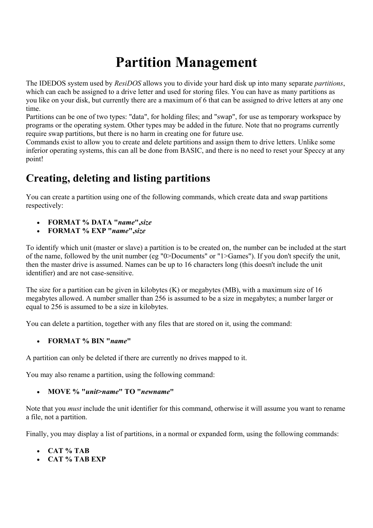# **Partition Management**

The IDEDOS system used by *ResiDOS* allows you to divide your hard disk up into many separate *partitions*, which can each be assigned to a drive letter and used for storing files. You can have as many partitions as you like on your disk, but currently there are a maximum of 6 that can be assigned to drive letters at any one time.

Partitions can be one of two types: "data", for holding files; and "swap", for use as temporary workspace by programs or the operating system. Other types may be added in the future. Note that no programs currently require swap partitions, but there is no harm in creating one for future use.

Commands exist to allow you to create and delete partitions and assign them to drive letters. Unlike some inferior operating systems, this can all be done from BASIC, and there is no need to reset your Speccy at any point!

# **Creating, deleting and listing partitions**

You can create a partition using one of the following commands, which create data and swap partitions respectively:

- **FORMAT % DATA "***name***",***size*
- **FORMAT % EXP "***name***",***size*

To identify which unit (master or slave) a partition is to be created on, the number can be included at the start of the name, followed by the unit number (eg "0>Documents" or "1>Games"). If you don't specify the unit, then the master drive is assumed. Names can be up to 16 characters long (this doesn't include the unit identifier) and are not case-sensitive.

The size for a partition can be given in kilobytes (K) or megabytes (MB), with a maximum size of 16 megabytes allowed. A number smaller than 256 is assumed to be a size in megabytes; a number larger or equal to 256 is assumed to be a size in kilobytes.

You can delete a partition, together with any files that are stored on it, using the command:

• **FORMAT % BIN "***name***"**

A partition can only be deleted if there are currently no drives mapped to it.

You may also rename a partition, using the following command:

### • **MOVE % "***unit***>***name***" TO "***newname***"**

Note that you *must* include the unit identifier for this command, otherwise it will assume you want to rename a file, not a partition.

Finally, you may display a list of partitions, in a normal or expanded form, using the following commands:

- **CAT % TAB**
- **CAT % TAB EXP**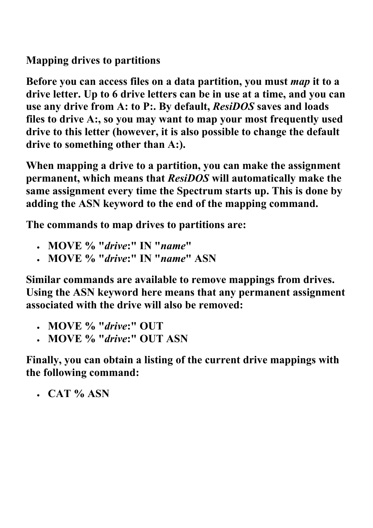**Mapping drives to partitions** 

**Before you can access files on a data partition, you must** *map* **it to a drive letter. Up to 6 drive letters can be in use at a time, and you can use any drive from A: to P:. By default,** *ResiDOS* **saves and loads files to drive A:, so you may want to map your most frequently used drive to this letter (however, it is also possible to change the default drive to something other than A:).** 

**When mapping a drive to a partition, you can make the assignment permanent, which means that** *ResiDOS* **will automatically make the same assignment every time the Spectrum starts up. This is done by adding the ASN keyword to the end of the mapping command.** 

**The commands to map drives to partitions are:** 

- **MOVE % "***drive***:" IN "***name***"**
- **MOVE % "***drive***:" IN "***name***" ASN**

**Similar commands are available to remove mappings from drives. Using the ASN keyword here means that any permanent assignment associated with the drive will also be removed:** 

- **MOVE % "***drive***:" OUT**
- **MOVE % "***drive***:" OUT ASN**

**Finally, you can obtain a listing of the current drive mappings with the following command:** 

• **CAT % ASN**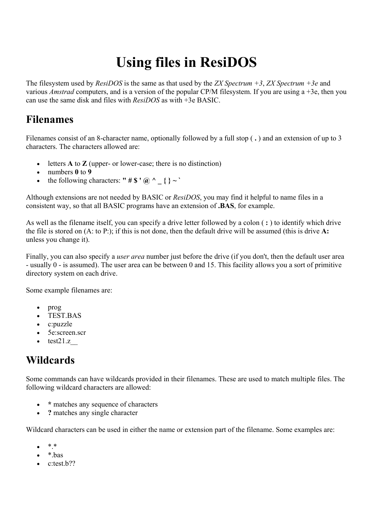# **Using files in ResiDOS**

The filesystem used by *ResiDOS* is the same as that used by the *ZX Spectrum +3*, *ZX Spectrum +3e* and various *Amstrad* computers, and is a version of the popular CP/M filesystem. If you are using a +3e, then you can use the same disk and files with *ResiDOS* as with +3e BASIC.

## **Filenames**

Filenames consist of an 8-character name, optionally followed by a full stop ( **.** ) and an extension of up to 3 characters. The characters allowed are:

- letters **A** to **Z** (upper- or lower-case; there is no distinction)
- numbers **0** to **9**
- the following characters: **"** #  $\mathbf{\$} \cdot \mathbf{\omega}$  ^ \_ { } ~ `

Although extensions are not needed by BASIC or *ResiDOS*, you may find it helpful to name files in a consistent way, so that all BASIC programs have an extension of **.BAS**, for example.

As well as the filename itself, you can specify a drive letter followed by a colon ( **:** ) to identify which drive the file is stored on (A: to P:); if this is not done, then the default drive will be assumed (this is drive **A:** unless you change it).

Finally, you can also specify a *user area* number just before the drive (if you don't, then the default user area - usually 0 - is assumed). The user area can be between 0 and 15. This facility allows you a sort of primitive directory system on each drive.

Some example filenames are:

- prog
- TEST.BAS
- c:puzzle
- 5e:screen.scr
- test $21.z$

# **Wildcards**

Some commands can have wildcards provided in their filenames. These are used to match multiple files. The following wildcard characters are allowed:

- **\*** matches any sequence of characters
- **?** matches any single character

Wildcard characters can be used in either the name or extension part of the filename. Some examples are:

- $* *$
- $\bullet$  \* bas
- $\bullet$  c:test.b??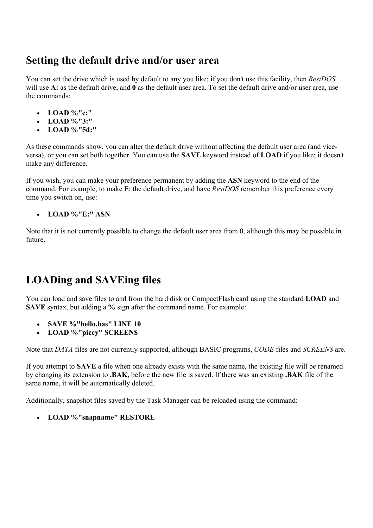### **Setting the default drive and/or user area**

You can set the drive which is used by default to any you like; if you don't use this facility, then *ResiDOS* will use A: as the default drive, and 0 as the default user area. To set the default drive and/or user area, use the commands:

- **LOAD %"c:"**
- **LOAD %"3:"**
- **LOAD %"5d:"**

As these commands show, you can alter the default drive without affecting the default user area (and viceversa), or you can set both together. You can use the **SAVE** keyword instead of **LOAD** if you like; it doesn't make any difference.

If you wish, you can make your preference permanent by adding the **ASN** keyword to the end of the command. For example, to make E: the default drive, and have *ResiDOS* remember this preference every time you switch on, use:

### • **LOAD %"E:" ASN**

Note that it is not currently possible to change the default user area from 0, although this may be possible in future.

# **LOADing and SAVEing files**

You can load and save files to and from the hard disk or CompactFlash card using the standard **LOAD** and **SAVE** syntax, but adding a **%** sign after the command name. For example:

- **SAVE %"hello.bas" LINE 10**
- **LOAD %"piccy" SCREEN\$**

Note that *DATA* files are not currently supported, although BASIC programs, *CODE* files and *SCREEN\$* are.

If you attempt to **SAVE** a file when one already exists with the same name, the existing file will be renamed by changing its extension to **.BAK**, before the new file is saved. If there was an existing **.BAK** file of the same name, it will be automatically deleted.

Additionally, snapshot files saved by the Task Manager can be reloaded using the command:

• **LOAD %"snapname" RESTORE**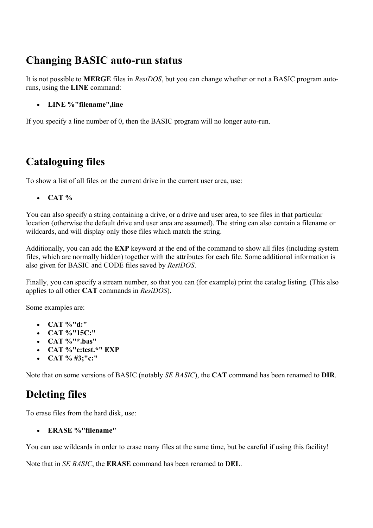## **Changing BASIC auto-run status**

It is not possible to **MERGE** files in *ResiDOS*, but you can change whether or not a BASIC program autoruns, using the **LINE** command:

• **LINE %"filename",line**

If you specify a line number of 0, then the BASIC program will no longer auto-run.

# **Cataloguing files**

To show a list of all files on the current drive in the current user area, use:

• **CAT %**

You can also specify a string containing a drive, or a drive and user area, to see files in that particular location (otherwise the default drive and user area are assumed). The string can also contain a filename or wildcards, and will display only those files which match the string.

Additionally, you can add the **EXP** keyword at the end of the command to show all files (including system files, which are normally hidden) together with the attributes for each file. Some additional information is also given for BASIC and CODE files saved by *ResiDOS*.

Finally, you can specify a stream number, so that you can (for example) print the catalog listing. (This also applies to all other **CAT** commands in *ResiDOS*).

Some examples are:

- **CAT %"d:"**
- **CAT %"15C:"**
- **CAT %"\*.bas"**
- **CAT %"e:test.\*" EXP**
- **CAT % #3;"c:"**

Note that on some versions of BASIC (notably *SE BASIC*), the **CAT** command has been renamed to **DIR**.

# **Deleting files**

To erase files from the hard disk, use:

• **ERASE %"filename"**

You can use wildcards in order to erase many files at the same time, but be careful if using this facility!

Note that in *SE BASIC*, the **ERASE** command has been renamed to **DEL**.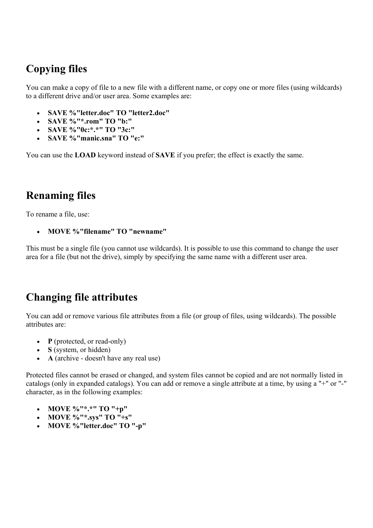# **Copying files**

You can make a copy of file to a new file with a different name, or copy one or more files (using wildcards) to a different drive and/or user area. Some examples are:

- **SAVE %"letter.doc" TO "letter2.doc"**
- **SAVE %"\*.rom" TO "b:"**
- **SAVE %"0c:\*.\*" TO "3c:"**
- **SAVE %"manic.sna" TO "e:"**

You can use the **LOAD** keyword instead of **SAVE** if you prefer; the effect is exactly the same.

### **Renaming files**

To rename a file, use:

• **MOVE %"filename" TO "newname"**

This must be a single file (you cannot use wildcards). It is possible to use this command to change the user area for a file (but not the drive), simply by specifying the same name with a different user area.

### **Changing file attributes**

You can add or remove various file attributes from a file (or group of files, using wildcards). The possible attributes are:

- **P** (protected, or read-only)
- **S** (system, or hidden)
- **A** (archive doesn't have any real use)

Protected files cannot be erased or changed, and system files cannot be copied and are not normally listed in catalogs (only in expanded catalogs). You can add or remove a single attribute at a time, by using a "+" or "-" character, as in the following examples:

- **MOVE %"\*.\*" TO "+p"**
- **MOVE %"\*.sys" TO "+s"**
- **MOVE %"letter.doc" TO "-p"**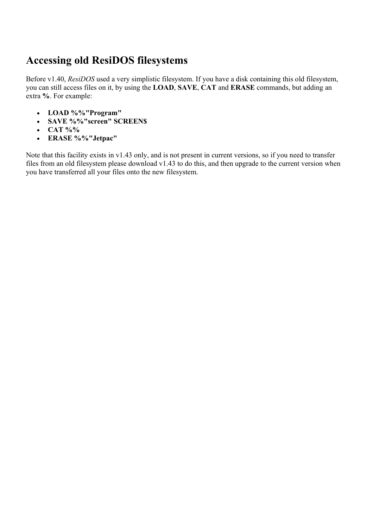# **Accessing old ResiDOS filesystems**

Before v1.40, *ResiDOS* used a very simplistic filesystem. If you have a disk containing this old filesystem, you can still access files on it, by using the **LOAD**, **SAVE**, **CAT** and **ERASE** commands, but adding an extra **%**. For example:

- **LOAD %%"Program"**
- **SAVE %%"screen" SCREEN\$**
- **CAT %%**
- **ERASE %%"Jetpac"**

Note that this facility exists in v1.43 only, and is not present in current versions, so if you need to transfer files from an old filesystem please download v1.43 to do this, and then upgrade to the current version when you have transferred all your files onto the new filesystem.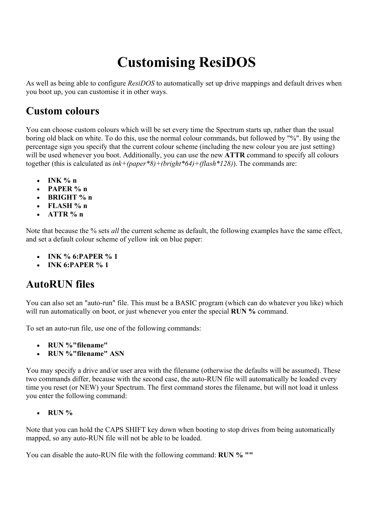# **Customising ResiDOS**

As well as being able to configure *ResiDOS* to automatically set up drive mappings and default drives when you boot up, you can customise it in other ways.

### **Custom colours**

You can choose custom colours which will be set every time the Spectrum starts up, rather than the usual boring old black on white. To do this, use the normal colour commands, but followed by "%". By using the percentage sign you specify that the current colour scheme (including the new colour you are just setting) will be used whenever you boot. Additionally, you can use the new **ATTR** command to specify all colours together (this is calculated as *ink+(paper\*8)+(bright\*64)+(flash\*128)*). The commands are:

- **INK % n**
- **PAPER % n**
- **BRIGHT % n**
- **FLASH % n**
- **ATTR % n**

Note that because the % sets *all* the current scheme as default, the following examples have the same effect, and set a default colour scheme of yellow ink on blue paper:

- **INK % 6:PAPER % 1**
- **INK 6:PAPER % 1**

### **AutoRUN files**

You can also set an "auto-run" file. This must be a BASIC program (which can do whatever you like) which will run automatically on boot, or just whenever you enter the special **RUN %** command.

To set an auto-run file, use one of the following commands:

- **RUN %"filename"**
- **RUN %"filename" ASN**

You may specify a drive and/or user area with the filename (otherwise the defaults will be assumed). These two commands differ, because with the second case, the auto-RUN file will automatically be loaded every time you reset (or NEW) your Spectrum. The first command stores the filename, but will not load it unless you enter the following command:

• **RUN %**

Note that you can hold the CAPS SHIFT key down when booting to stop drives from being automatically mapped, so any auto-RUN file will not be able to be loaded.

You can disable the auto-RUN file with the following command: **RUN % ""**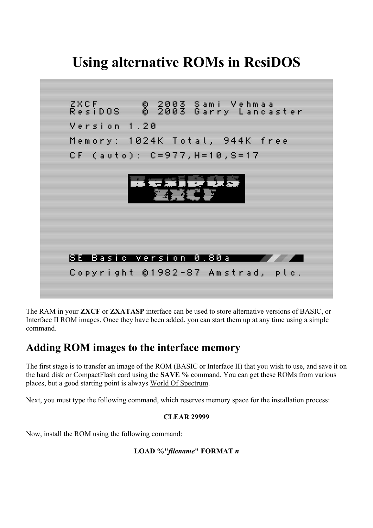# **Using alternative ROMs in ResiDOS**



The RAM in your **ZXCF** or **ZXATASP** interface can be used to store alternative versions of BASIC, or Interface II ROM images. Once they have been added, you can start them up at any time using a simple command.

### **Adding ROM images to the interface memory**

The first stage is to transfer an image of the ROM (BASIC or Interface II) that you wish to use, and save it on the hard disk or CompactFlash card using the **SAVE %** command. You can get these ROMs from various places, but a good starting point is always World Of Spectrum.

Next, you must type the following command, which reserves memory space for the installation process:

### **CLEAR 29999**

Now, install the ROM using the following command:

### **LOAD %"***filename***" FORMAT** *n*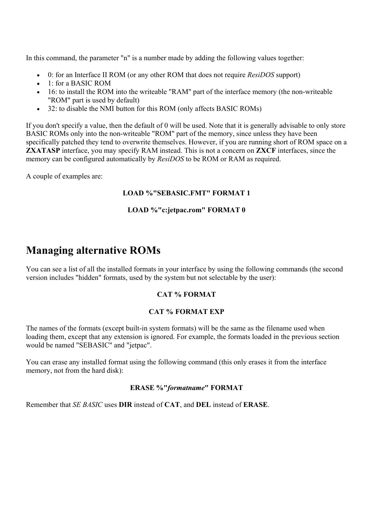In this command, the parameter "n" is a number made by adding the following values together:

- 0: for an Interface II ROM (or any other ROM that does not require *ResiDOS* support)
- 1: for a BASIC ROM
- 16: to install the ROM into the writeable "RAM" part of the interface memory (the non-writeable "ROM" part is used by default)
- 32: to disable the NMI button for this ROM (only affects BASIC ROMs)

If you don't specify a value, then the default of 0 will be used. Note that it is generally advisable to only store BASIC ROMs only into the non-writeable "ROM" part of the memory, since unless they have been specifically patched they tend to overwrite themselves. However, if you are running short of ROM space on a **ZXATASP** interface, you may specify RAM instead. This is not a concern on **ZXCF** interfaces, since the memory can be configured automatically by *ResiDOS* to be ROM or RAM as required.

A couple of examples are:

#### **LOAD %"SEBASIC.FMT" FORMAT 1**

#### **LOAD %"c:jetpac.rom" FORMAT 0**

### **Managing alternative ROMs**

You can see a list of all the installed formats in your interface by using the following commands (the second version includes "hidden" formats, used by the system but not selectable by the user):

#### **CAT % FORMAT**

#### **CAT % FORMAT EXP**

The names of the formats (except built-in system formats) will be the same as the filename used when loading them, except that any extension is ignored. For example, the formats loaded in the previous section would be named "SEBASIC" and "jetpac".

You can erase any installed format using the following command (this only erases it from the interface memory, not from the hard disk):

#### **ERASE %"***formatname***" FORMAT**

Remember that *SE BASIC* uses **DIR** instead of **CAT**, and **DEL** instead of **ERASE**.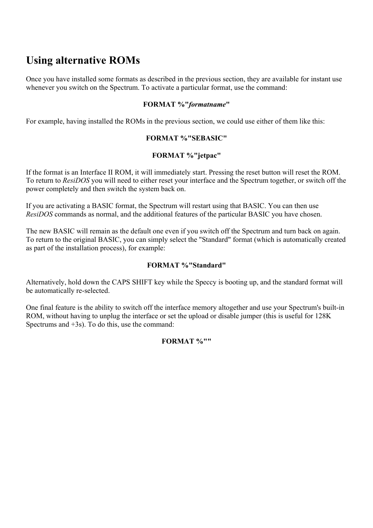# **Using alternative ROMs**

Once you have installed some formats as described in the previous section, they are available for instant use whenever you switch on the Spectrum. To activate a particular format, use the command:

#### **FORMAT %"***formatname***"**

For example, having installed the ROMs in the previous section, we could use either of them like this:

#### **FORMAT %"SEBASIC"**

#### **FORMAT %"jetpac"**

If the format is an Interface II ROM, it will immediately start. Pressing the reset button will reset the ROM. To return to *ResiDOS* you will need to either reset your interface and the Spectrum together, or switch off the power completely and then switch the system back on.

If you are activating a BASIC format, the Spectrum will restart using that BASIC. You can then use *ResiDOS* commands as normal, and the additional features of the particular BASIC you have chosen.

The new BASIC will remain as the default one even if you switch off the Spectrum and turn back on again. To return to the original BASIC, you can simply select the "Standard" format (which is automatically created as part of the installation process), for example:

#### **FORMAT %"Standard"**

Alternatively, hold down the CAPS SHIFT key while the Speccy is booting up, and the standard format will be automatically re-selected.

One final feature is the ability to switch off the interface memory altogether and use your Spectrum's built-in ROM, without having to unplug the interface or set the upload or disable jumper (this is useful for 128K Spectrums and +3s). To do this, use the command:

### **FORMAT %""**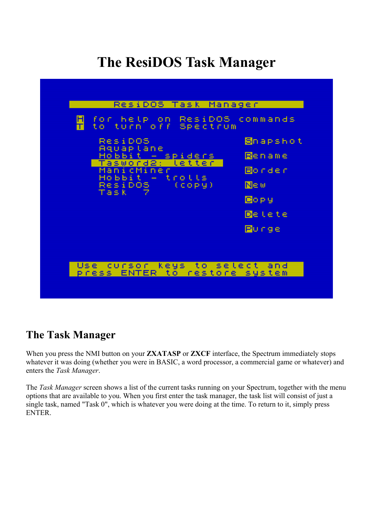# **The ResiDOS Task Manager**



### **The Task Manager**

When you press the NMI button on your **ZXATASP** or **ZXCF** interface, the Spectrum immediately stops whatever it was doing (whether you were in BASIC, a word processor, a commercial game or whatever) and enters the *Task Manager*.

The *Task Manager* screen shows a list of the current tasks running on your Spectrum, together with the menu options that are available to you. When you first enter the task manager, the task list will consist of just a single task, named "Task 0", which is whatever you were doing at the time. To return to it, simply press ENTER.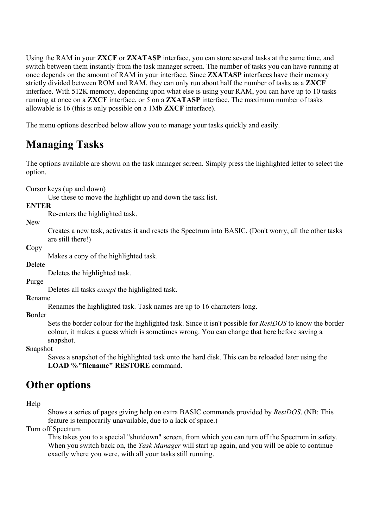Using the RAM in your **ZXCF** or **ZXATASP** interface, you can store several tasks at the same time, and switch between them instantly from the task manager screen. The number of tasks you can have running at once depends on the amount of RAM in your interface. Since **ZXATASP** interfaces have their memory strictly divided between ROM and RAM, they can only run about half the number of tasks as a **ZXCF** interface. With 512K memory, depending upon what else is using your RAM, you can have up to 10 tasks running at once on a **ZXCF** interface, or 5 on a **ZXATASP** interface. The maximum number of tasks allowable is 16 (this is only possible on a 1Mb **ZXCF** interface).

The menu options described below allow you to manage your tasks quickly and easily.

# **Managing Tasks**

The options available are shown on the task manager screen. Simply press the highlighted letter to select the option.

Cursor keys (up and down)

Use these to move the highlight up and down the task list.

**ENTER**

Re-enters the highlighted task.

**N**ew

Creates a new task, activates it and resets the Spectrum into BASIC. (Don't worry, all the other tasks are still there!)

**C**opy

Makes a copy of the highlighted task.

**D**elete

Deletes the highlighted task.

**P**urge

Deletes all tasks *except* the highlighted task.

**R**ename

Renames the highlighted task. Task names are up to 16 characters long.

**B**order

Sets the border colour for the highlighted task. Since it isn't possible for *ResiDOS* to know the border colour, it makes a guess which is sometimes wrong. You can change that here before saving a snapshot.

**S**napshot

Saves a snapshot of the highlighted task onto the hard disk. This can be reloaded later using the **LOAD %"filename" RESTORE** command.

### **Other options**

**H**elp

Shows a series of pages giving help on extra BASIC commands provided by *ResiDOS*. (NB: This feature is temporarily unavailable, due to a lack of space.)

**T**urn off Spectrum

This takes you to a special "shutdown" screen, from which you can turn off the Spectrum in safety. When you switch back on, the *Task Manager* will start up again, and you will be able to continue exactly where you were, with all your tasks still running.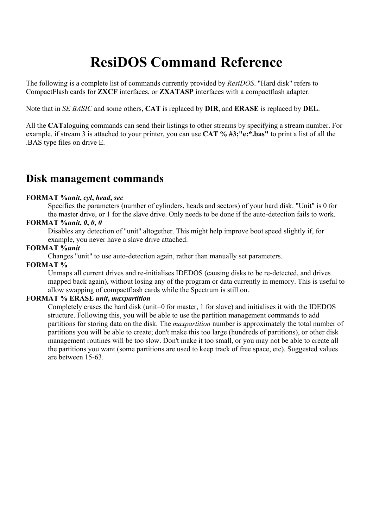# **ResiDOS Command Reference**

The following is a complete list of commands currently provided by *ResiDOS*. "Hard disk" refers to CompactFlash cards for **ZXCF** interfaces, or **ZXATASP** interfaces with a compactflash adapter.

Note that in *SE BASIC* and some others, **CAT** is replaced by **DIR**, and **ERASE** is replaced by **DEL**.

All the **CAT**aloguing commands can send their listings to other streams by specifying a stream number. For example, if stream 3 is attached to your printer, you can use **CAT % #3;"e:\*.bas"** to print a list of all the .BAS type files on drive E.

### **Disk management commands**

#### **FORMAT %***unit***,** *cyl***,** *head***,** *sec*

Specifies the parameters (number of cylinders, heads and sectors) of your hard disk. "Unit" is 0 for the master drive, or 1 for the slave drive. Only needs to be done if the auto-detection fails to work.

### **FORMAT %***unit***,** *0***,** *0***,** *0*

Disables any detection of "unit" altogether. This might help improve boot speed slightly if, for example, you never have a slave drive attached.

#### **FORMAT %***unit*

Changes "unit" to use auto-detection again, rather than manually set parameters.

#### **FORMAT %**

Unmaps all current drives and re-initialises IDEDOS (causing disks to be re-detected, and drives mapped back again), without losing any of the program or data currently in memory. This is useful to allow swapping of compactflash cards while the Spectrum is still on.

#### **FORMAT % ERASE** *unit***,** *maxpartition*

Completely erases the hard disk (unit=0 for master, 1 for slave) and initialises it with the IDEDOS structure. Following this, you will be able to use the partition management commands to add partitions for storing data on the disk. The *maxpartition* number is approximately the total number of partitions you will be able to create; don't make this too large (hundreds of partitions), or other disk management routines will be too slow. Don't make it too small, or you may not be able to create all the partitions you want (some partitions are used to keep track of free space, etc). Suggested values are between 15-63.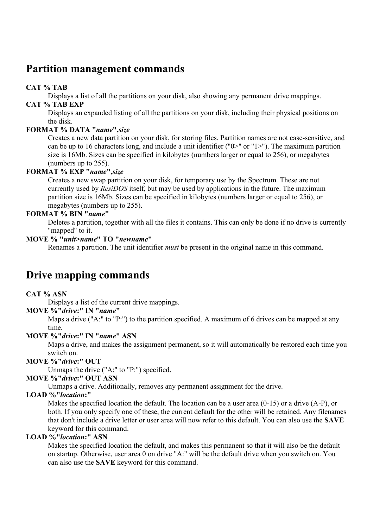### **Partition management commands**

### **CAT % TAB**

Displays a list of all the partitions on your disk, also showing any permanent drive mappings.

### **CAT % TAB EXP**

Displays an expanded listing of all the partitions on your disk, including their physical positions on the disk.

### **FORMAT % DATA "***name***",***size*

Creates a new data partition on your disk, for storing files. Partition names are not case-sensitive, and can be up to 16 characters long, and include a unit identifier ("0>" or "1>"). The maximum partition size is 16Mb. Sizes can be specified in kilobytes (numbers larger or equal to 256), or megabytes (numbers up to 255).

### **FORMAT % EXP "***name***",***size*

Creates a new swap partition on your disk, for temporary use by the Spectrum. These are not currently used by *ResiDOS* itself, but may be used by applications in the future. The maximum partition size is 16Mb. Sizes can be specified in kilobytes (numbers larger or equal to 256), or megabytes (numbers up to 255).

### **FORMAT % BIN "***name***"**

Deletes a partition, together with all the files it contains. This can only be done if no drive is currently "mapped" to it.

### **MOVE % "***unit***>***name***" TO "***newname***"**

Renames a partition. The unit identifier *must* be present in the original name in this command.

### **Drive mapping commands**

### **CAT % ASN**

Displays a list of the current drive mappings.

### **MOVE %"***drive***:" IN "***name***"**

Maps a drive ("A:" to "P:") to the partition specified. A maximum of 6 drives can be mapped at any time.

### **MOVE %"***drive***:" IN "***name***" ASN**

Maps a drive, and makes the assignment permanent, so it will automatically be restored each time you switch on.

### **MOVE %"***drive***:" OUT**

Unmaps the drive ("A:" to "P:") specified.

### **MOVE %"***drive***:" OUT ASN**

Unmaps a drive. Additionally, removes any permanent assignment for the drive.

### **LOAD %"***location***:"**

Makes the specified location the default. The location can be a user area (0-15) or a drive (A-P), or both. If you only specify one of these, the current default for the other will be retained. Any filenames that don't include a drive letter or user area will now refer to this default. You can also use the **SAVE** keyword for this command.

### **LOAD %"***location***:" ASN**

Makes the specified location the default, and makes this permanent so that it will also be the default on startup. Otherwise, user area 0 on drive "A:" will be the default drive when you switch on. You can also use the **SAVE** keyword for this command.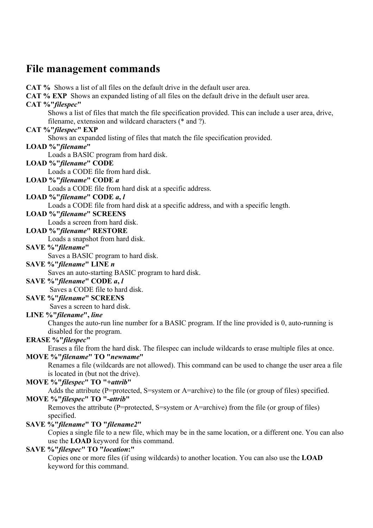### **File management commands**

**CAT %** Shows a list of all files on the default drive in the default user area. **CAT % EXP** Shows an expanded listing of all files on the default drive in the default user area. **CAT %"***filespec***"** Shows a list of files that match the file specification provided. This can include a user area, drive, filename, extension and wildcard characters (\* and ?). **CAT %"***filespec***" EXP** Shows an expanded listing of files that match the file specification provided. **LOAD %"***filename***"** Loads a BASIC program from hard disk. **LOAD %"***filename***" CODE** Loads a CODE file from hard disk. **LOAD %"***filename***" CODE** *a* Loads a CODE file from hard disk at a specific address. **LOAD %"***filename***" CODE** *a***,** *l* Loads a CODE file from hard disk at a specific address, and with a specific length. **LOAD %"***filename***" SCREEN\$** Loads a screen from hard disk. **LOAD %"***filename***" RESTORE** Loads a snapshot from hard disk. **SAVE %"***filename***"** Saves a BASIC program to hard disk. **SAVE %"***filename***" LINE** *n* Saves an auto-starting BASIC program to hard disk. **SAVE %"***filename***" CODE** *a***,** *l*  Saves a CODE file to hard disk. **SAVE %"***filename***" SCREEN\$**  Saves a screen to hard disk. **LINE %"***filename***",** *line* Changes the auto-run line number for a BASIC program. If the line provided is 0, auto-running is disabled for the program. **ERASE %"***filespec***"** Erases a file from the hard disk. The filespec can include wildcards to erase multiple files at once. **MOVE %"***filename***" TO "***newname***"** Renames a file (wildcards are not allowed). This command can be used to change the user area a file is located in (but not the drive). **MOVE %"***filespec***" TO "+***attrib***"** Adds the attribute (P=protected, S=system or A=archive) to the file (or group of files) specified. **MOVE %"***filespec***" TO "-***attrib***"** Removes the attribute (P=protected, S=system or A=archive) from the file (or group of files) specified. **SAVE %"***filename***" TO "***filename2***"**

Copies a single file to a new file, which may be in the same location, or a different one. You can also use the **LOAD** keyword for this command.

### **SAVE %"***filespec***" TO "***location***:"**

Copies one or more files (if using wildcards) to another location. You can also use the **LOAD** keyword for this command.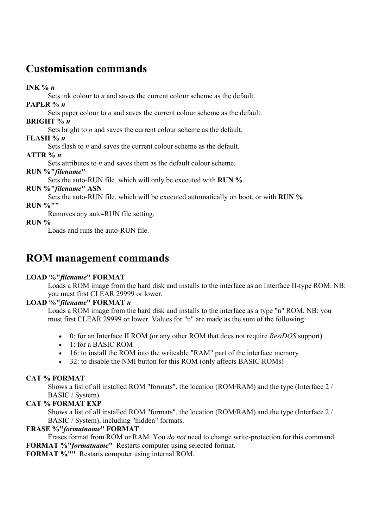### **Customisation commands**

**INK %** *n*

Sets ink colour to *n* and saves the current colour scheme as the default.

**PAPER %** *n*

Sets paper colour to *n* and saves the current colour scheme as the default.

**BRIGHT %** *n*

Sets bright to *n* and saves the current colour scheme as the default.

**FLASH %** *n*

Sets flash to *n* and saves the current colour scheme as the default.

**ATTR %** *n*

Sets attributes to *n* and saves them as the default colour scheme.

### **RUN %"***filename***"**

Sets the auto-RUN file, which will only be executed with **RUN %**.

**RUN %"***filename***" ASN**

Sets the auto-RUN file, which will be executed automatically on boot, or with **RUN %**.

**RUN %""**

Removes any auto-RUN file setting.

### **RUN %**

Loads and runs the auto-RUN file.

### **ROM management commands**

### **LOAD %"***filename***" FORMAT**

Loads a ROM image from the hard disk and installs to the interface as an Interface II-type ROM. NB: you must first CLEAR 29999 or lower.

### **LOAD %"***filename***" FORMAT** *n*

Loads a ROM image from the hard disk and installs to the interface as a type "n" ROM. NB: you must first CLEAR 29999 or lower. Values for "n" are made as the sum of the following:

- 0: for an Interface II ROM (or any other ROM that does not require *ResiDOS* support)
- 1: for a BASIC ROM
- 16: to install the ROM into the writeable "RAM" part of the interface memory
- 32: to disable the NMI button for this ROM (only affects BASIC ROMs)

### **CAT % FORMAT**

Shows a list of all installed ROM "formats", the location (ROM/RAM) and the type (Interface 2 / BASIC / System).

### **CAT % FORMAT EXP**

Shows a list of all installed ROM "formats", the location (ROM/RAM) and the type (Interface 2 / BASIC / System), including "hidden" formats.

### **ERASE %"***formatname***" FORMAT**

Erases format from ROM or RAM. You *do not* need to change write-protection for this command. **FORMAT %"***formatname***"** Restarts computer using selected format.

**FORMAT %""** Restarts computer using internal ROM.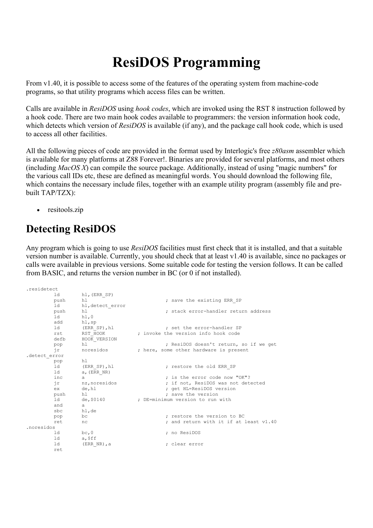# **ResiDOS Programming**

From v1.40, it is possible to access some of the features of the operating system from machine-code programs, so that utility programs which access files can be written.

Calls are available in *ResiDOS* using *hook codes*, which are invoked using the RST 8 instruction followed by a hook code. There are two main hook codes available to programmers: the version information hook code, which detects which version of *ResiDOS* is available (if any), and the package call hook code, which is used to access all other facilities.

All the following pieces of code are provided in the format used by Interlogic's free *z80asm* assembler which is available for many platforms at Z88 Forever!. Binaries are provided for several platforms, and most others (including *MacOS X*) can compile the source package. Additionally, instead of using "magic numbers" for the various call IDs etc, these are defined as meaningful words. You should download the following file, which contains the necessary include files, together with an example utility program (assembly file and prebuilt TAP/TZX):

• resitools.zip

# **Detecting ResiDOS**

Any program which is going to use *ResiDOS* facilities must first check that it is installed, and that a suitable version number is available. Currently, you should check that at least v1.40 is available, since no packages or calls were available in previous versions. Some suitable code for testing the version follows. It can be called from BASIC, and returns the version number in BC (or 0 if not installed).

| .residetect   |            |                  |  |                                        |
|---------------|------------|------------------|--|----------------------------------------|
|               | ld         | hl, (ERR SP)     |  |                                        |
|               | push       | h1               |  | ; save the existing ERR SP             |
|               | ld         | hl, detect error |  |                                        |
|               | push       | hl               |  | ; stack error-handler return address   |
|               | ld         | h1,0             |  |                                        |
|               | add hl, sp |                  |  |                                        |
|               | ld         | (ERR SP), hl     |  | ; set the error-handler SP             |
|               |            | rst RST HOOK     |  | : invoke the version info hook code    |
|               | defb       | HOOK VERSION     |  |                                        |
|               | pop        | h <sub>1</sub>   |  | ; ResiDOS doesn't return, so if we get |
|               | ir         | noresidos        |  | ; here, some other hardware is present |
| .detect error |            |                  |  |                                        |
|               | pop        | hl               |  |                                        |
|               | ld         | (ERR SP), hl     |  | ; restore the old ERR SP               |
|               | ld         | $a$ , (ERR NR)   |  |                                        |
|               | inc        | $\overline{a}$   |  | : is the error code now "OK"?          |
|               |            | ir nz, noresidos |  | ; if not, ResiDOS was not detected     |
|               | ex         | de, hl           |  | ; get HL=ResiDOS version               |
|               | push       | h 1              |  | ; save the version                     |
|               | ld         | de,\$0140        |  | ; DE=minimum version to run with       |
|               | and        | a                |  |                                        |
|               | sbc        | hl,de            |  |                                        |
|               | pop        | bc               |  | : restore the version to BC            |
|               | ret        | nc               |  | ; and return with it if at least v1.40 |
| .noresidos    |            |                  |  |                                        |
|               | ld         | bc,0             |  | ; no ResiDOS                           |
|               | ld         | a,\$ff           |  |                                        |
|               | ld         | $(ERR NR)$ , a   |  | : clear error                          |
|               | ret        |                  |  |                                        |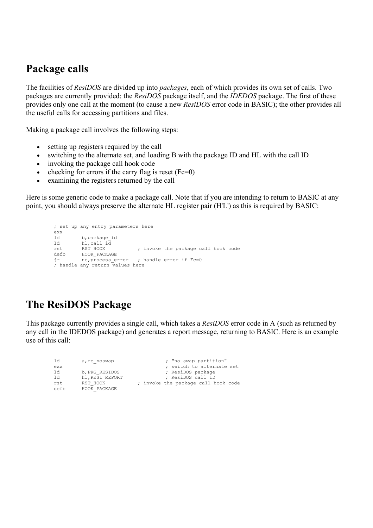### **Package calls**

The facilities of *ResiDOS* are divided up into *packages*, each of which provides its own set of calls. Two packages are currently provided: the *ResiDOS* package itself, and the *IDEDOS* package. The first of these provides only one call at the moment (to cause a new *ResiDOS* error code in BASIC); the other provides all the useful calls for accessing partitions and files.

Making a package call involves the following steps:

- setting up registers required by the call
- switching to the alternate set, and loading B with the package ID and HL with the call ID
- invoking the package call hook code
- checking for errors if the carry flag is reset  $(Fc=0)$
- examining the registers returned by the call

Here is some generic code to make a package call. Note that if you are intending to return to BASIC at any point, you should always preserve the alternate HL register pair (H'L') as this is required by BASIC:

```
 ; set up any entry parameters here 
         exx 
        ld b, package_id<br>ld hl.call id
        ld hl,call_id<br>rst RST_HOOK
rst 6 RST_HOOK 3 PROVID 10 Provide the package call hook code
 defb HOOK_PACKAGE 
 jr nc,process_error ; handle error if Fc=0 
        ; handle any return values here
```
# **The ResiDOS Package**

This package currently provides a single call, which takes a *ResiDOS* error code in A (such as returned by any call in the IDEDOS package) and generates a report message, returning to BASIC. Here is an example use of this call:

```
ld a, rc noswap ; "no swap partition"
exx \overline{z} = \overline{z} = \overline{z} = \overline{z} = \overline{z} = \overline{z} = \overline{z} = \overline{z} = \overline{z} = \overline{z} = \overline{z} = \overline{z} = \overline{z} = \overline{z} = \overline{z} = \overline{z} = \overline{z} = \overline{z} = \overline{z} = \overline{z} 
 ld b,PKG_RESIDOS ; ResiDOS package 
              hl, RESI_REPORT<br>RST HOOK
rst RST_HOO\overline{K} ; invoke the package call hook code defb HOO\overline{K} PACKAGE
               HOO\overline{K} PACKAGE
```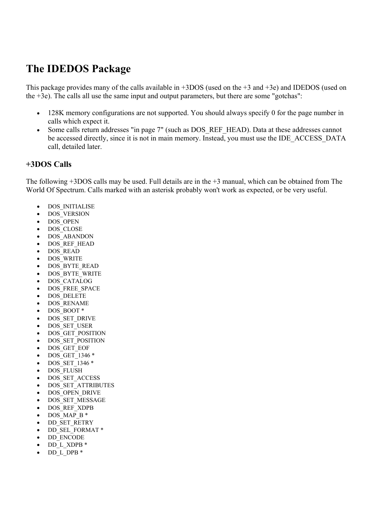# **The IDEDOS Package**

This package provides many of the calls available in +3DOS (used on the +3 and +3e) and IDEDOS (used on the +3e). The calls all use the same input and output parameters, but there are some "gotchas":

- 128K memory configurations are not supported. You should always specify 0 for the page number in calls which expect it.
- Some calls return addresses "in page 7" (such as DOS REF HEAD). Data at these addresses cannot be accessed directly, since it is not in main memory. Instead, you must use the IDE\_ACCESS\_DATA call, detailed later.

### **+3DOS Calls**

The following +3DOS calls may be used. Full details are in the +3 manual, which can be obtained from The World Of Spectrum. Calls marked with an asterisk probably won't work as expected, or be very useful.

- DOS\_INITIALISE
- DOS\_VERSION
- DOS\_OPEN
- DOS\_CLOSE
- DOS\_ABANDON
- DOS REF HEAD
- DOS\_READ
- DOS\_WRITE
- DOS\_BYTE\_READ
- DOS\_BYTE\_WRITE
- DOS\_CATALOG
- DOS\_FREE\_SPACE
- DOS\_DELETE
- DOS\_RENAME
- DOS\_BOOT \*
- DOS\_SET\_DRIVE
- DOS\_SET\_USER
- DOS GET POSITION
- DOS\_SET\_POSITION
- DOS\_GET\_EOF
- DOS\_GET\_1346 \*
- DOS SET 1346 \*
- DOS\_FLUSH
- DOS\_SET\_ACCESS
- DOS\_SET\_ATTRIBUTES
- DOS\_OPEN\_DRIVE
- DOS\_SET\_MESSAGE
- DOS REF\_XDPB
- $DOSMAP B*$
- DD\_SET\_RETRY
- DD\_SEL\_FORMAT \*
- DD\_ENCODE
- DD L XDPB \*
- DD\_L\_DPB \*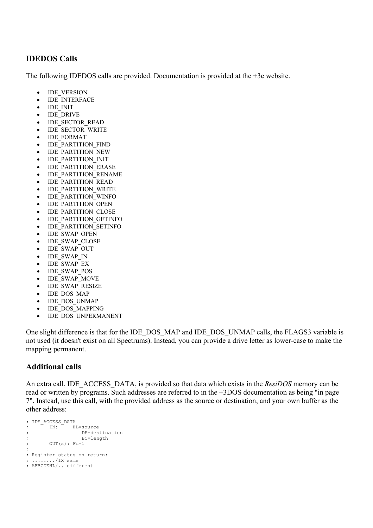### **IDEDOS Calls**

The following IDEDOS calls are provided. Documentation is provided at the +3e website.

- IDE\_VERSION
- IDE\_INTERFACE
- IDE\_INIT
- IDE\_DRIVE
- IDE\_SECTOR\_READ
- IDE\_SECTOR\_WRITE
- IDE\_FORMAT
- IDE\_PARTITION\_FIND
- IDE\_PARTITION\_NEW
- IDE\_PARTITION\_INIT
- IDE\_PARTITION\_ERASE
- IDE\_PARTITION\_RENAME
- IDE\_PARTITION\_READ
- IDE\_PARTITION\_WRITE
- IDE\_PARTITION\_WINFO
- IDE\_PARTITION\_OPEN
- IDE\_PARTITION\_CLOSE
- IDE\_PARTITION\_GETINFO
- IDE\_PARTITION\_SETINFO
- IDE\_SWAP\_OPEN
- IDE\_SWAP\_CLOSE
- IDE\_SWAP\_OUT
- IDE\_SWAP\_IN
- IDE\_SWAP\_EX
- IDE\_SWAP\_POS
- IDE\_SWAP\_MOVE
- IDE\_SWAP\_RESIZE
- IDE\_DOS\_MAP
- IDE\_DOS\_UNMAP
- IDE\_DOS\_MAPPING
- IDE\_DOS\_UNPERMANENT

One slight difference is that for the IDE\_DOS\_MAP and IDE\_DOS\_UNMAP calls, the FLAGS3 variable is not used (it doesn't exist on all Spectrums). Instead, you can provide a drive letter as lower-case to make the mapping permanent.

### **Additional calls**

An extra call, IDE\_ACCESS\_DATA, is provided so that data which exists in the *ResiDOS* memory can be read or written by programs. Such addresses are referred to in the +3DOS documentation as being "in page 7". Instead, use this call, with the provided address as the source or destination, and your own buffer as the other address:

```
; IDE_ACCESS_DATA 
; IN: HL=source 
; DE=destination 
;<br>BC=length
; OUT(s): Fc=1 
; 
; Register status on return: 
; ......../IX same 
; AFBCDEHL/.. different
```